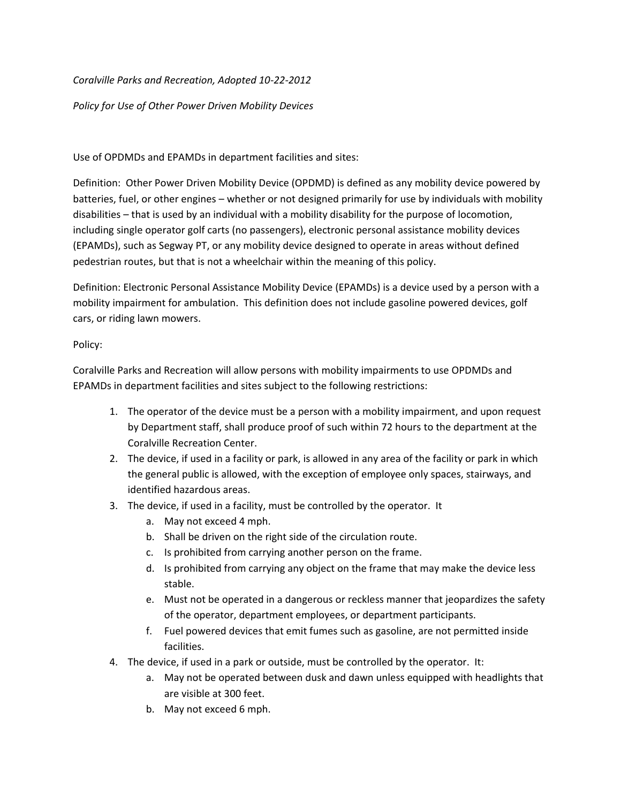*Coralville Parks and Recreation, Adopted 10-22-2012*

*Policy for Use of Other Power Driven Mobility Devices* 

Use of OPDMDs and EPAMDs in department facilities and sites:

Definition: Other Power Driven Mobility Device (OPDMD) is defined as any mobility device powered by batteries, fuel, or other engines – whether or not designed primarily for use by individuals with mobility disabilities – that is used by an individual with a mobility disability for the purpose of locomotion, including single operator golf carts (no passengers), electronic personal assistance mobility devices (EPAMDs), such as Segway PT, or any mobility device designed to operate in areas without defined pedestrian routes, but that is not a wheelchair within the meaning of this policy.

Definition: Electronic Personal Assistance Mobility Device (EPAMDs) is a device used by a person with a mobility impairment for ambulation. This definition does not include gasoline powered devices, golf cars, or riding lawn mowers.

Policy:

Coralville Parks and Recreation will allow persons with mobility impairments to use OPDMDs and EPAMDs in department facilities and sites subject to the following restrictions:

- 1. The operator of the device must be a person with a mobility impairment, and upon request by Department staff, shall produce proof of such within 72 hours to the department at the Coralville Recreation Center.
- 2. The device, if used in a facility or park, is allowed in any area of the facility or park in which the general public is allowed, with the exception of employee only spaces, stairways, and identified hazardous areas.
- 3. The device, if used in a facility, must be controlled by the operator. It
	- a. May not exceed 4 mph.
	- b. Shall be driven on the right side of the circulation route.
	- c. Is prohibited from carrying another person on the frame.
	- d. Is prohibited from carrying any object on the frame that may make the device less stable.
	- e. Must not be operated in a dangerous or reckless manner that jeopardizes the safety of the operator, department employees, or department participants.
	- f. Fuel powered devices that emit fumes such as gasoline, are not permitted inside facilities.
- 4. The device, if used in a park or outside, must be controlled by the operator. It:
	- a. May not be operated between dusk and dawn unless equipped with headlights that are visible at 300 feet.
	- b. May not exceed 6 mph.